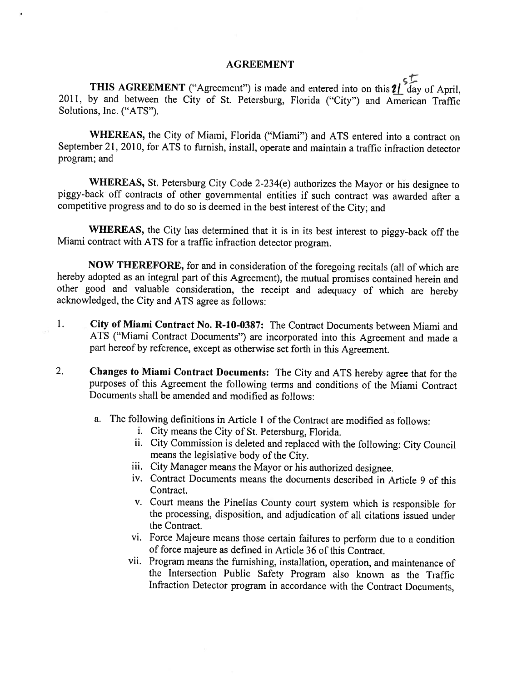## AGREEMENT

THIS AGREEMENT ("Agreement") is made and entered into on this  $2\int_{0}^{8} \frac{d^{3}}{dx^{3}}$  of April, 2011, by and between the City of St. Petersburg, Florida ("City") and American Traffic Solutions, Inc. ("ATS").

WHEREAS, the City of Miami, Florida ("Miami") and ATS entered into a contract on September 21, 2010, for ATS to furnish, install, operate and maintain a traffic infraction detector program; and

WHEREAS, St. Petersburg City Code 2-234(e) authorizes the Mayor or his designee to <sup>p</sup>iggy-back off contracts of other governmental entities if such contract was awarded after <sup>a</sup> competitive progress and to do so is deemed in the best interest of the City; and

WHEREAS, the City has determined that it is in its best interest to <sup>p</sup>iggy-back off the Miami contract with ATS for <sup>a</sup> traffic infraction detector program.

NOW THEREFORE, for and in consideration of the foregoing recitals (all of which are hereby adopted as an integral part of this Agreement), the mutual promises contained herein and other good and valuable consideration, the receipt and adequacy of which are hereby acknowledged, the City and ATS agree as follows:

- 1. City of Miami Contract No. R-1O-0387: The Contract Documents between Miami and ATS ("Miami Contract Documents") are incorporated into this Agreement and made <sup>a</sup> part hereof by reference, except as otherwise set forth in this Agreement.
- 2. Changes to Miami Contract Documents: The City and ATS hereby agree that for the purposes of this Agreement the following terms and conditions of' the Miami Contract Documents shall be amended and modified as follows:
	- a. The following definitions in Article 1 of the Contract are modified as follows:
		- i. City means the City of St. Petersburg, Florida.
		- ii. City Commission is deleted and replaced with the following: City Council means the legislative body of the City.
		- iii. City Manager means the Mayor or his authorized designee.
		- iv. Contract Documents means the documents described in Article 9 of this Contract.
		- v. Court means the Pinellas County court System which is responsible for the processing, disposition. and adjudication of all citations issued under the Contract.
		- vi. Force Majeure means those certain failures to perform due to a condition of force majeure as defined in Article 36 of this Contract.
		- vii. Program means the furnishing, installation, operation, and maintenance of the Intersection Public Safety Program also known as the Traffic Infraction Detector program in accordance with the Contract Documents,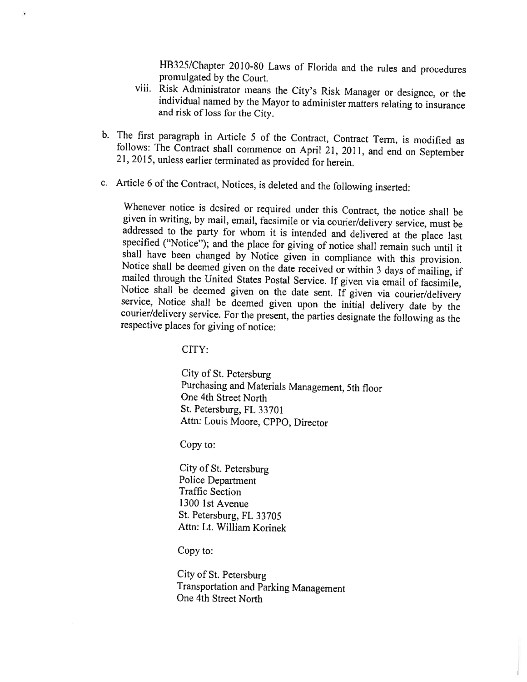HB325/Chapter 2010-80 Laws of Florida and the rules and procedures promulgated by the Court.<br>viii. Risk Administrator means the City's Risk Manager or designee, or the

- individual named by the Mayor to administer matters relating to insurance and risk of loss for the City.
- b. The first paragraph in Article <sup>5</sup> of the Contract, Contract Term, is modified as follows: The Contract shall commence on April 21, 2011, and end on September 21,2015, unless earlier terminated as provided for herein.
- c. Article 6 of the Contract, Notices, is deleted and the following inserted:

Whenever notice is desired or required under this Contract, the notice shall be given in writing, by mail, email, facsimile or via courier/delivery service, must be addressed to the party for whom it is intended and delivered at the place last specified ("Notice"); and the place for giving of notice shall remain such until it shall have been changed by Notice given in compliance with

CITY:

City of St. Petersburg Purchasing and Materials Management, 5th floor One 4th Street North St. Petersburg, FL 33701 Attn: Louis Moore, CPPO, Director

Copy to:

City of St. Petersburg Police Department Traffic Section 1300 IstAvenue St. Petersburg, FL 33705 Attn: Lt. William Korinek

Copy to:

City of St. Petersburg Transportation and Parking Management One 4th Street North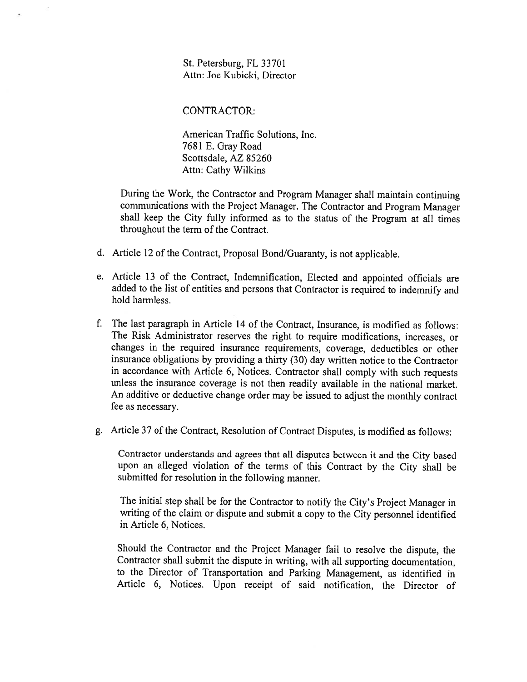St. Petersburg. FL 33701 Atm: Joe Kubicki, Director

CONTRACTOR:

American Traffic Solutions, Inc. 7681 E. Gray Road Scottsdale, AZ 85260 Atm: Cathy Wilkins

During the Work, the Contractor and Program Manager shall maintain continuing communications with the Project Manager. The Contractor and Program Manager shall keep the City fully informed as to the status of the Program at all times throughout the term of the Contract.

- d. Article <sup>12</sup> of the Contract, Proposal Bond/Guaranty, is not applicable.
- e. Article <sup>13</sup> of the Contract, Indemnification, Elected and appointed officials are added to the list of entities and persons that Contractor is required to indemnify and hold harmless.
- f. The last paragraph in Article 14 of the Contract, Insurance, is modified as follows: The Risk Administrator reserves the right to require modifications, increases, or changes in the required insurance requirements, coverage, deductibles or other insurance obligations by providing <sup>a</sup> thirty (30) day written notice to the Contractor in accordance with Article 6, Notices. Contractor shall comply with such requests unless the insurance coverage is not then readily available in the national market. An additive or deductive change order may he issued to adjust the monthly contract fee as necessary.
- g. Article 37 of the Contract, Resolution of Contract Disputes, is modified as follows:

Contractor understands and agrees that all disputes between it and the City based upon an alleged violation of the terms of this Contract by the City shall be submitted for resolution in the following manner.

The initial step shall be for the Contractor to notify the City's Project Manager in writing of the claim or dispute and submit <sup>a</sup> copy to the City personnel identified in Article 6, Notices.

Should the Contractor and the Project Manager fail to resolve the dispute, the Contractor shall submit the dispute in writing, with all supporting documentation. to the Director of fransportation and Parking Management, as identified in Article 6, Notices. Upon receipt of said notification, the Director of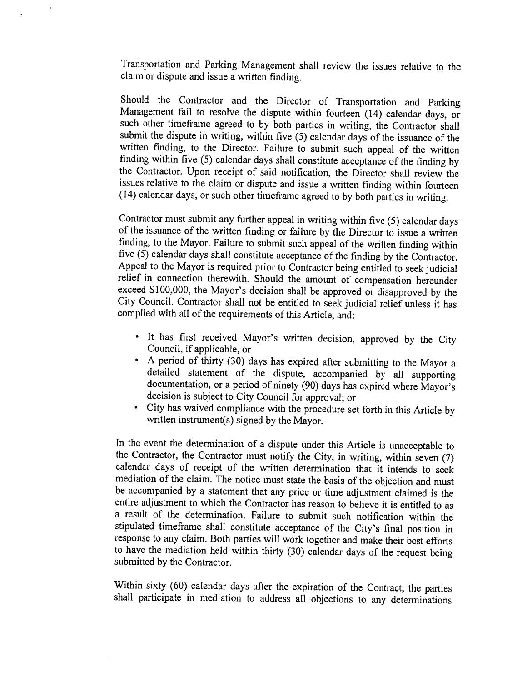Transportation and Parking Management shall review the issues relative to the claim or dispute and issue <sup>a</sup> written finding.

Should the Contractor and the Director of Transportation and Parking<br>Management fail to resolve the dispute within fourteen (14) calendar days, or<br>such other timeframe agreed to by both parties in writing, the Contractor s submit the dispute in writing, within five (5) calendar days of the issuance of the written finding, to the Director. Failure to submit such appeal of the written<br>finding within five (5) calendar days shall constitute acceptance of the finding by the Contractor. Upon receipt of said notification, the Director shall review the issues relative to the claim or dispute and issue <sup>a</sup> written finding within fourteen (14) calendar days, or such other timeframe agreed to by both parties in writing.

Contractor must submit any further appeal in writing within five (5) calendar days of the issuance of the written finding or failure by the Director to issue a written finding, to the Mayor. Failure to submit such appeal o five  $(5)$  calendar days shall constitute acceptance of the finding by the Contractor.<br>Appeal to the Mayor is required prior to Contractor being entitled to seek judicial relief in connection therewith. Should the amount of compensation hereunder exceed \$100,000, the Mayor's decision shall be approved or disapproved by the City Council. Contractor shall not be entitled to seek judicial relief unless it has complied with all of the requirements of this Article, and:

- It has first received Mayor's written decision, approved by the City Council, if applicable, or
- <sup>A</sup> period of thirty (30) days has expired after submitting to the Mayor <sup>a</sup> detailed statement of the dispute, accompanied by all supporting documentation, or <sup>a</sup> period of ninety (90) days has expired where Mayor's decision is subject to City Council ibr approval; or
- •City has waived compliance with the procedure set forth in this Article by written instrument(s) signed by the Mayor.

In the event the determination of a dispute under this Article is unacceptable to the Contractor, the Contractor must notify the City, in writing, within seven (7) calendar days of receipt of the written determination that it intends to seek mediation of the claim. The notice must state the basis of the objection and must be accompanied by a statement that any price or time adjustment claimed is the entire adjustment to which the Contractor has reason to believe it is entitled to as <sup>a</sup> result of the determination. Failure to submit such notification within the stipulated timeframe shall constitute acceptance of the City's final position in response to any claim. Both parties will work together and make their best efforts to have the mediation held within thirty (30) calendar days of the request being submitted by the Contractor.

Within sixty (60) calendar days after the expiration of the Contract, the parties shall participate in mediation to address all objections to any determinations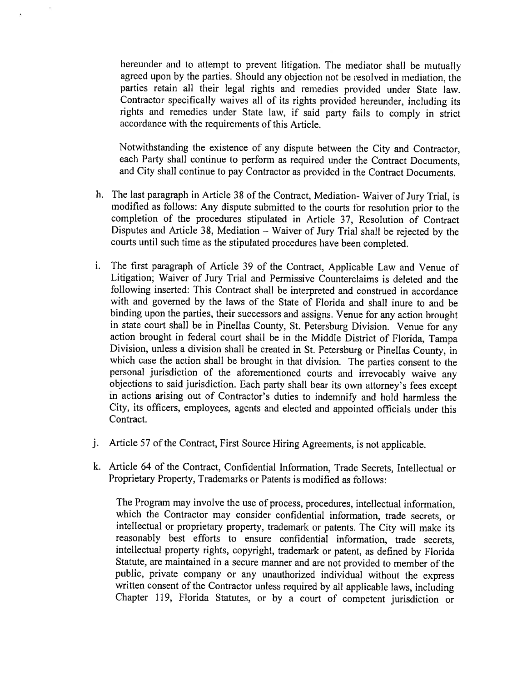hereunder and to attempt to prevent litigation. The mediator shall be mutually agreed upon by the parties. Should any objection not be resolved in mediation, the parties retain all their legal rights and remedies provided under State law. Contractor specifically waives all of its rights provided hereunder, including its rights and remedies under State law, if said party fails to comply in strict accordance with the requirements of this Article.

Notwithstanding the existence of any dispute between the City and Contractor. each Party shall continue to perform as required under the Contract Documents, and City shall continue to pay Contractor as provided in the Contract Documents.

- h. The last paragraph in Article 38 of the Contract, Mediation-Waiver of Jury Trial, is modified as follows: Any dispute submitted to the courts for resolution prior to the completion of the procedures stipulated in Article 37, Resolution of Contract Disputes and Article 38, Mediation — Waiver of Jury Trial shall be rejected by the courts until such time as the stipulated procedures have been completed.
- The first paragrap<sup>h</sup> of Article <sup>39</sup> of the Contract, Applicable Law and Venue of Litigation; Waiver of Jury Trial and Permissive Counterclaims is deleted and the following inserted: This Contract shall be interpreted and construed in accordance with and governed by the laws of the State of Florida and shall inure to and he binding upon the parties, their successors and assigns. Venue for any action brought in state court shall be in Pinellas County, St. Petersburg Division. Venue for any action brought in federal court shall be in the Middle District of Florida, Tampa Division, unless <sup>a</sup> division shall be created in St. Petersburg or Pinellas County, in which case the action shall be brought in that division. The parties consent to the personal jurisdiction of the aforementioned courts and irrevocably waive any objections to said jurisdiction. Each party shall bear its own attorney's fees except in actions arising out of Contractor's duties to indemnify and hold harmless the City, its officers, employees, agents and elected and appointed officials under this Contract.
- j. Article 57 of the Contract, First Source Hiring Agreements, is not applicable.
- k. Article 64 of the Contract, Confidential Information, Trade Secrets, Intellectual or Proprietary Property, Trademarks or Patents is modified as follows:

The Program may involve the use of process. procedures, intellectual information, which the Contractor may consider confidential information, trade secrets, or intellectual or proprietary property, trademark or patents. The City will make its reasonably best efforts to ensure confidential information, trade secrets, intellectual property rights, copyright, trademark or patent, as defined by Florida Statute, are maintained in <sup>a</sup> secure manner and are not provided to member of the public, private company or any unauthorized individual without the express written consent of the Contractor unless required by all applicable laws, including Chapter 119, Florida Statutes, or by a court of competent jurisdiction or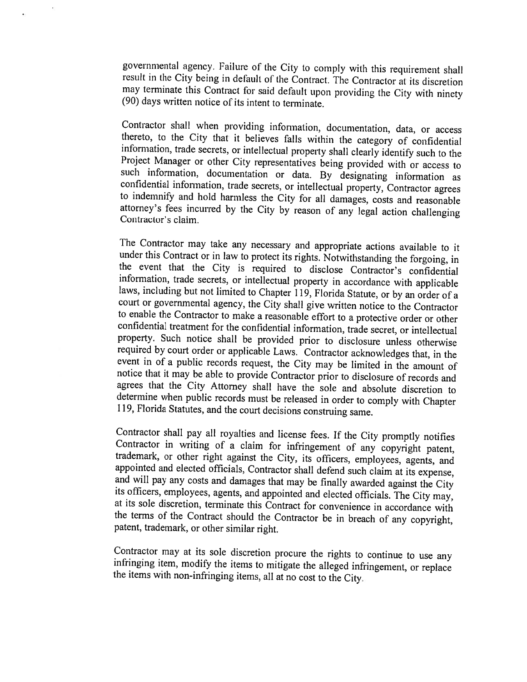governmental agency. Failure of the City to comply with this requirement shall result in the City being in default of the Contract. The Contractor at its discretion may terminate this Contract for said default upon providing the City with ninety (90) days written notice of its intent to terminate.

Contractor shall when providing information, documentation, data, or access thereto, to the City that it believes falls within the category of confidential information, trade secrets, or intellectual property shall clearly attorney's fees incurred by the City by reason of any legal action challenging Contractor's claim.

The Contractor may take any necessary and appropriate actions available to it under this Contract or in law to protect its rights. Notwithstanding the forgoing, in the event that the City is required to disclose Contractor's confidential<br>information, trade secrets, or intellectual property in accordance with applicable<br>laws, including but not limited to Chapter 119, Florida Statute, confidential treatment for the confidential information, trade secret, or intellectual property. Such notice shall be provided prior to disclosure unless otherwise event in of a public records request, the City may be limited in the amount of notice that it may be able to provide Contractor prior to disclosure of records and agrees that the City Attorney shall have the sole and absol determine when public records must be released in order to comply with Chapter 119, Florida Statutes, and the court decisions construing same.

Contractor shall pay all royalties and license fees. If the City promptly notifies Contractor in writing of a claim for infringement of any copyright patent, trademark, or other right against the City, its officers, employ

Contractor may at its sole discretion procure the rights to continue to use any infringing item, modify the items to mitigate the alleged infringement, or replace the items with non-infringing items, all at no cost to the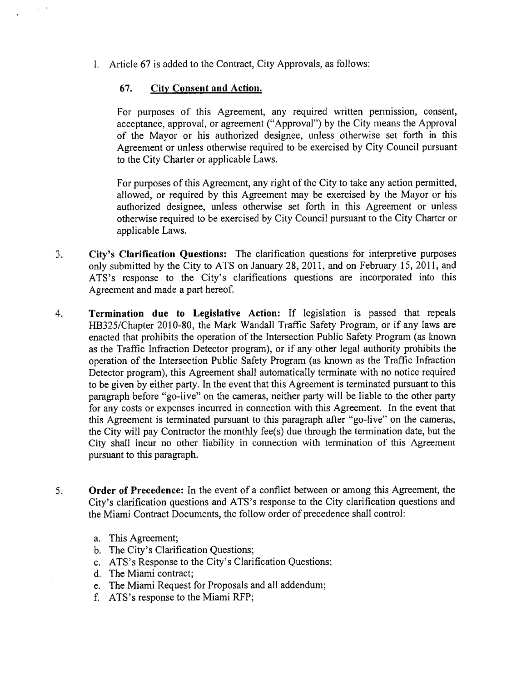1. Article 67 is added to the Contract, City Approvals, as follows:

## 67. City Consent and Action.

For purposes of this Agreement, any required written permission, consent, acceptance, approval, or agreement ("Approval") by the City means the Approval of the Mayor or his authorized designee, unless otherwise set forth in this Agreement or unless otherwise required to be exercised by City Council pursuan<sup>t</sup> to the City Charter or applicable Laws.

For purposes of this Agreement, any right of the City to take any action permitted. allowed, or required by this Agreement may be exercised by the Mayor or his authorized designee, unless otherwise set forth in this Agreement or unless otherwise required to be exercised by City Council pursuan<sup>t</sup> to the City Charter or applicable Laws.

- 3. City's Clarification Questions: The clarification questions for interpretive purposes only submitted by the City to ATS on January 28, 2011, and on February 15, 2011, and ATS's response to the City's clarifications questions are incorporated into this Agreement and made <sup>a</sup> par<sup>t</sup> hereof.
- 4. Termination due to Legislative Action: If legislation is passed that repeals HB325/Chapter 2010-80, the Mark Wandall Traffic Safety Program, or if any laws are enacted that prohibits the operation of the Intersection Public Safety Program (as known as the Traffic Infraction Detector program), or if any other legal authority prohibits the operation of the Intersection Public Safety Program (as known as the Traffic Infraction Detector program), this Agreement shall automatically terminate with no notice required to be <sup>g</sup>iven by either party. In the event that this Agreement is terminated pursuan<sup>t</sup> to this paragraph before "go-live" on the cameras, neither party will be liable to the other party for any costs or expenses incurred in connection with this Agreement. In the event that this Agreement is terminated pursuan<sup>t</sup> to this paragraph after "go-live" on the cameras, the City will pay Contractor the monthly fee(s) due through the termination date, but the City shall incur no other liability in connection with termination of this Agreement pursuan<sup>t</sup> to this paragraph.
- 5. Order of Precedence: In the event of <sup>a</sup> conflict between or among this Agreement, the City's clarification questions and ATS's response to the City clarification questions and the Miami Contract Documents, the follow order of precedence shall control:
	- a. This Agreement:
	- b. The City's Clarification Questions;
	- c. ATS's Response to the City's Clarification Questions:
	- d. The Miami contract;
	- e. The Miami Request for Proposals and all addendum:
	- f. ATS's response to the Miami RFP: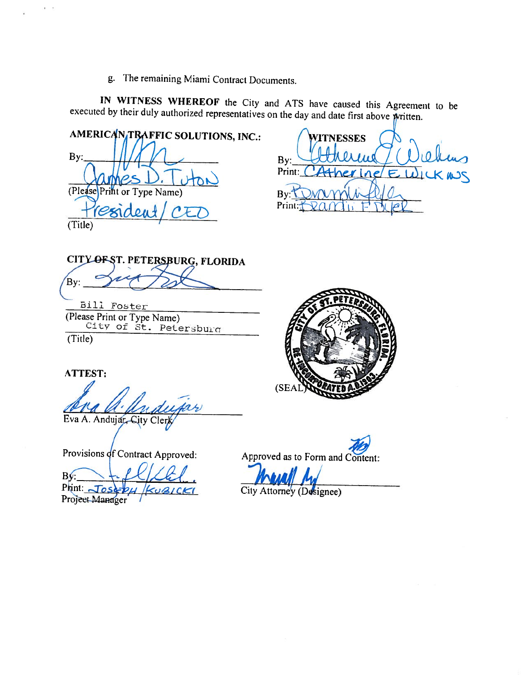g. The remaining Miami Contract Documents.

IN WITNESS WHEREOF the City and ATS have caused this Agreement to be executed by their duly authorized representatives on the day and date first above written.

AMERICANTRAFFIC SOLUTIONS, INC.: By: (Please Print or Type Name) (Title)

**ITNESSES** By: Print: Bv Print:

CITY OF ST. PETERSBURG, FLORIDA By:

Bill Foster (Please Print or Type Name)<br>City of St. Petersburg (Title)

ATTEST:

Eva A. Andujar, City Clerk

Provisions of Contract Approved:

BŃ Print: Jos

Project Manager



Approved as to Form and Content:

City Attorney (Designee)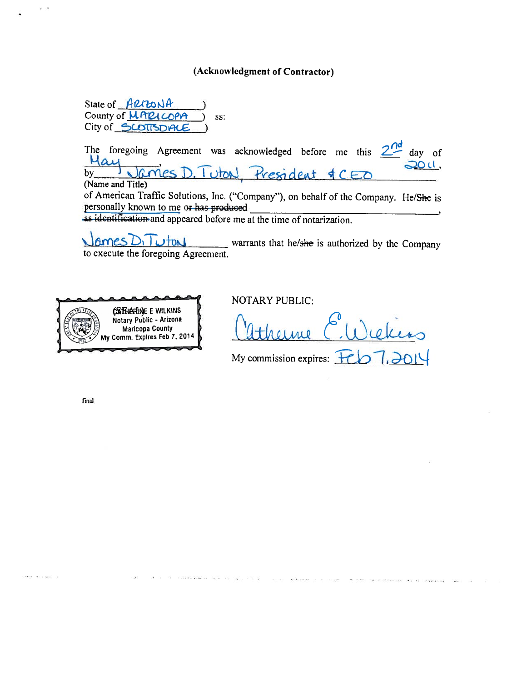## (Acknowledgment of Contractor)

State of ARRONA County of *<u>MARI</u>* SS: City of SCOTTSDALE

The foregoing Agreement was acknowledged before me this  $2^{nd}$ day of  $\Delta$ ij 20 U. bγ tresident (Name and Title) of American Traffic Solutions, Inc. ("Company"), on behalf of the Company. He/She is personally known to me or has produced

as identification and appeared before me at the time of notarization.

tons warrants that he/she is authorized by the Company to execute the foregoing Agreement.



NOTARY PUBLIC:

My commission expires:  $\pm$ 

final

**Also and Service**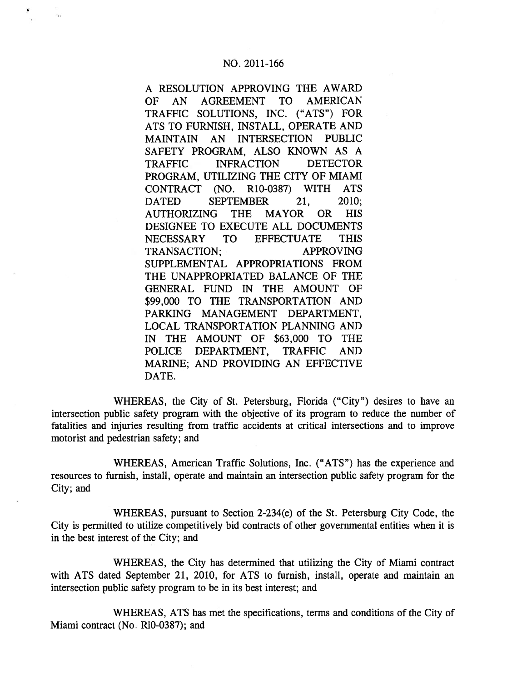A RESOLUTION APPROVING THE AWARD OF AN AGREEMENT TO AMERICAN TRAFFIC SOLUTIONS, INC. ("ATS") FOR ATS TO FURNISH, INSTALL, OPERATE AND MAINTAIN AN INTERSECTION PUBLIC SAFETY PROGRAM, ALSO KNOWN AS A TRAFFIC INFRACTION DETECTOR PROGRAM, UTILIZING THE CITY OF MIAMI CONTRACT (NO. R10-0387) WITH ATS DATED SEPTEMBER 21, 2010; AUTHORIZING THE MAYOR OR HIS DESIGNEE TO EXECUTE ALL DOCUMENTS NECESSARY TO EFFECTUATE THIS TRANSACTION; APPROVING SUPPLEMENTAL APPROPRIATIONS FROM THE UNAPPROPRIATED BALANCE OF THE GENERAL FUND IN THE AMOUNT OF \$99,000 TO THE TRANSPORTATION AND PARKING MANAGEMENT DEPARTMENT, LOCAL TRANSPORTATION PLANNING AND IN THE AMOUNT OF \$63,000 TO THE POLICE DEPARTMENT, TRAFFIC AND MARINE; AND PROVIDING AN EFFECTIVE DATE.

WHEREAS, the City of St. Petersburg, Florida ("City") desires to have an intersection public safety program with the objective of its program to reduce the number of fatalities and injuries resulting from traffic accidents at critical intersections and to improve motorist and pedestrian safety; and

WHEREAS, American Traffic Solutions, Inc. ("ATS") has the experience and resources to furnish, install, operate and maintain an intersection public safety program for the City; and

WHEREAS, pursuan<sup>t</sup> to Section 2-234(e) of the St. Petersburg City Code, the City is permitted to utilize competitively bid contracts of other governmental entities when it is in the best interest of the City; and

WHEREAS, the City has determined that utilizing the City of Miami contract with ATS dated September 21, 2010, for ATS to furnish, install, operate and maintain an intersection public safety program to be in its best interest; and

WHEREAS, ATS has met the specifications, terms and conditions of the City of Miami contract (No. R10-0387); and